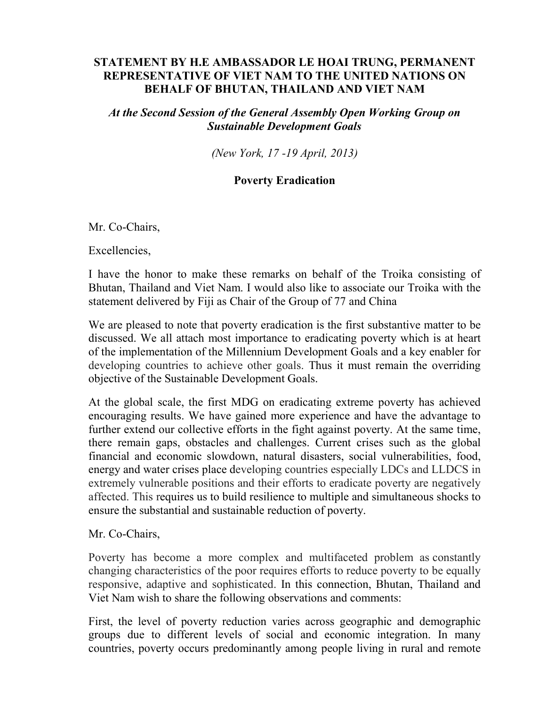## **STATEMENT BY H.E AMBASSADOR LE HOAI TRUNG, PERMANENT REPRESENTATIVE OF VIET NAM TO THE UNITED NATIONS ON BEHALF OF BHUTAN, THAILAND AND VIET NAM**

*At the Second Session of the General Assembly Open Working Group on Sustainable Development Goals* 

*(New York, 17 -19 April, 2013)* 

## **Poverty Eradication**

Mr. Co-Chairs,

Excellencies,

I have the honor to make these remarks on behalf of the Troika consisting of Bhutan, Thailand and Viet Nam. I would also like to associate our Troika with the statement delivered by Fiji as Chair of the Group of 77 and China

We are pleased to note that poverty eradication is the first substantive matter to be discussed. We all attach most importance to eradicating poverty which is at heart of the implementation of the Millennium Development Goals and a key enabler for developing countries to achieve other goals. Thus it must remain the overriding objective of the Sustainable Development Goals.

At the global scale, the first MDG on eradicating extreme poverty has achieved encouraging results. We have gained more experience and have the advantage to further extend our collective efforts in the fight against poverty. At the same time, there remain gaps, obstacles and challenges. Current crises such as the global financial and economic slowdown, natural disasters, social vulnerabilities, food, energy and water crises place developing countries especially LDCs and LLDCS in extremely vulnerable positions and their efforts to eradicate poverty are negatively affected. This requires us to build resilience to multiple and simultaneous shocks to ensure the substantial and sustainable reduction of poverty.

## Mr. Co-Chairs,

Poverty has become a more complex and multifaceted problem as constantly changing characteristics of the poor requires efforts to reduce poverty to be equally responsive, adaptive and sophisticated. In this connection, Bhutan, Thailand and Viet Nam wish to share the following observations and comments:

First, the level of poverty reduction varies across geographic and demographic groups due to different levels of social and economic integration. In many countries, poverty occurs predominantly among people living in rural and remote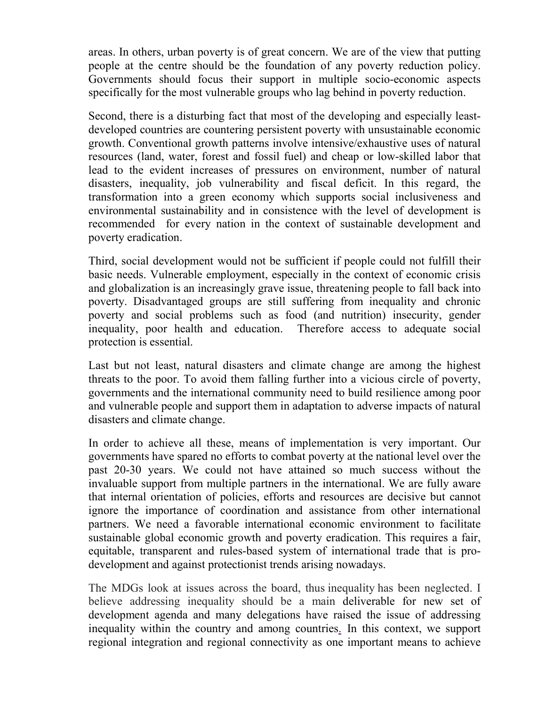areas. In others, urban poverty is of great concern. We are of the view that putting people at the centre should be the foundation of any poverty reduction policy. Governments should focus their support in multiple socio-economic aspects specifically for the most vulnerable groups who lag behind in poverty reduction.

Second, there is a disturbing fact that most of the developing and especially leastdeveloped countries are countering persistent poverty with unsustainable economic growth. Conventional growth patterns involve intensive/exhaustive uses of natural resources (land, water, forest and fossil fuel) and cheap or low-skilled labor that lead to the evident increases of pressures on environment, number of natural disasters, inequality, job vulnerability and fiscal deficit. In this regard, the transformation into a green economy which supports social inclusiveness and environmental sustainability and in consistence with the level of development is recommended for every nation in the context of sustainable development and poverty eradication.

Third, social development would not be sufficient if people could not fulfill their basic needs. Vulnerable employment, especially in the context of economic crisis and globalization is an increasingly grave issue, threatening people to fall back into poverty. Disadvantaged groups are still suffering from inequality and chronic poverty and social problems such as food (and nutrition) insecurity, gender inequality, poor health and education. Therefore access to adequate social protection is essential.

Last but not least, natural disasters and climate change are among the highest threats to the poor. To avoid them falling further into a vicious circle of poverty, governments and the international community need to build resilience among poor and vulnerable people and support them in adaptation to adverse impacts of natural disasters and climate change.

In order to achieve all these, means of implementation is very important. Our governments have spared no efforts to combat poverty at the national level over the past 20-30 years. We could not have attained so much success without the invaluable support from multiple partners in the international. We are fully aware that internal orientation of policies, efforts and resources are decisive but cannot ignore the importance of coordination and assistance from other international partners. We need a favorable international economic environment to facilitate sustainable global economic growth and poverty eradication. This requires a fair, equitable, transparent and rules-based system of international trade that is prodevelopment and against protectionist trends arising nowadays.

The MDGs look at issues across the board, thus inequality has been neglected. I believe addressing inequality should be a main deliverable for new set of development agenda and many delegations have raised the issue of addressing inequality within the country and among countries. In this context, we support regional integration and regional connectivity as one important means to achieve